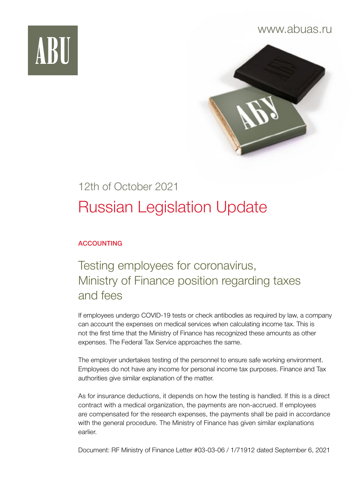

### www.abuas.ru



# 12th of October 2021 Russian Legislation Update

#### ACCOUNTING

### Testing employees for coronavirus, Ministry of Finance position regarding taxes and fees

If employees undergo COVID-19 tests or check antibodies as required by law, a company can account the expenses on medical services when calculating income tax. This is not the first time that the Ministry of Finance has recognized these amounts as other expenses. The Federal Tax Service approaches the same.

The employer undertakes testing of the personnel to ensure safe working environment. Employees do not have any income for personal income tax purposes. Finance and Tax authorities give similar explanation of the matter.

As for insurance deductions, it depends on how the testing is handled. If this is a direct contract with a medical organization, the payments are non-accrued. If employees are compensated for the research expenses, the payments shall be paid in accordance with the general procedure. The Ministry of Finance has given similar explanations earlier.

Document: RF Ministry of Finance Letter #03-03-06 / 1/71912 dated September 6, 2021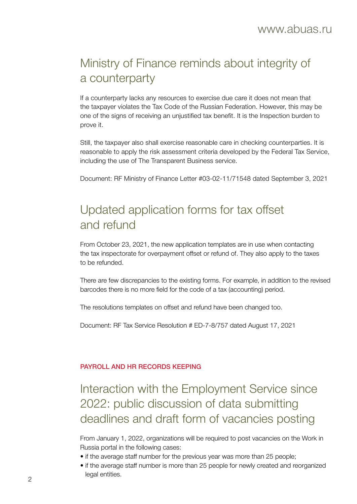## Ministry of Finance reminds about integrity of a counterparty

If a counterparty lacks any resources to exercise due care it does not mean that the taxpayer violates the Tax Code of the Russian Federation. However, this may be one of the signs of receiving an unjustified tax benefit. It is the Inspection burden to prove it.

Still, the taxpayer also shall exercise reasonable care in checking counterparties. It is reasonable to apply the risk assessment criteria developed by the Federal Tax Service, including the use of The Transparent Business service.

Document: RF Ministry of Finance Letter #03-02-11/71548 dated September 3, 2021

### Updated application forms for tax offset and refund

From October 23, 2021, the new application templates are in use when contacting the tax inspectorate for overpayment offset or refund of. They also apply to the taxes to be refunded.

There are few discrepancies to the existing forms. For example, in addition to the revised barcodes there is no more field for the code of a tax (accounting) period.

The resolutions templates on offset and refund have been changed too.

Document: RF Tax Service Resolution # ED-7-8/757 dated August 17, 2021

#### PAYROLL AND HR RECORDS KEEPING

### Interaction with the Employment Service since 2022: public discussion of data submitting deadlines and draft form of vacancies posting

From January 1, 2022, organizations will be required to post vacancies on the Work in Russia portal in the following cases:

- if the average staff number for the previous year was more than 25 people;
- if the average staff number is more than 25 people for newly created and reorganized legal entities. <sup>2</sup>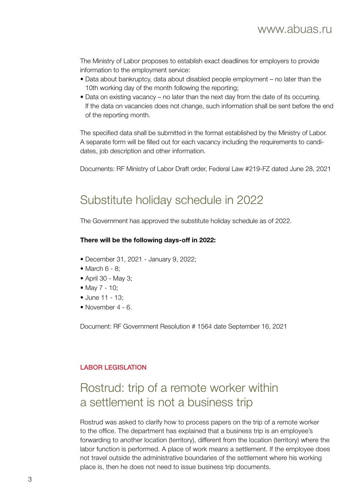The Ministry of Labor proposes to establish exact deadlines for employers to provide information to the employment service:

- Data about bankruptcy, data about disabled people employment no later than the 10th working day of the month following the reporting;
- Data on existing vacancy no later than the next day from the date of its occurring. If the data on vacancies does not change, such information shall be sent before the end of the reporting month.

The specified data shall be submitted in the format established by the Ministry of Labor. A separate form will be filled out for each vacancy including the requirements to candidates, job description and other information.

Documents: RF Ministry of Labor Draft order, Federal Law #219-FZ dated June 28, 2021

### Substitute holiday schedule in 2022

The Government has approved the substitute holiday schedule as of 2022.

#### **There will be the following days-off in 2022:**

- December 31, 2021 January 9, 2022;
- $\bullet$  March 6 8:
- April 30 May 3;
- May 7 10;
- June 11 13;
- November 4 6.

Document: RF Government Resolution # 1564 date September 16, 2021

#### LABOR LEGISLATION

### Rostrud: trip of a remote worker within a settlement is not a business trip

Rostrud was asked to clarify how to process papers on the trip of a remote worker to the office. The department has explained that a business trip is an employee's forwarding to another location (territory), different from the location (territory) where the labor function is performed. A place of work means a settlement. If the employee does not travel outside the administrative boundaries of the settlement where his working place is, then he does not need to issue business trip documents.